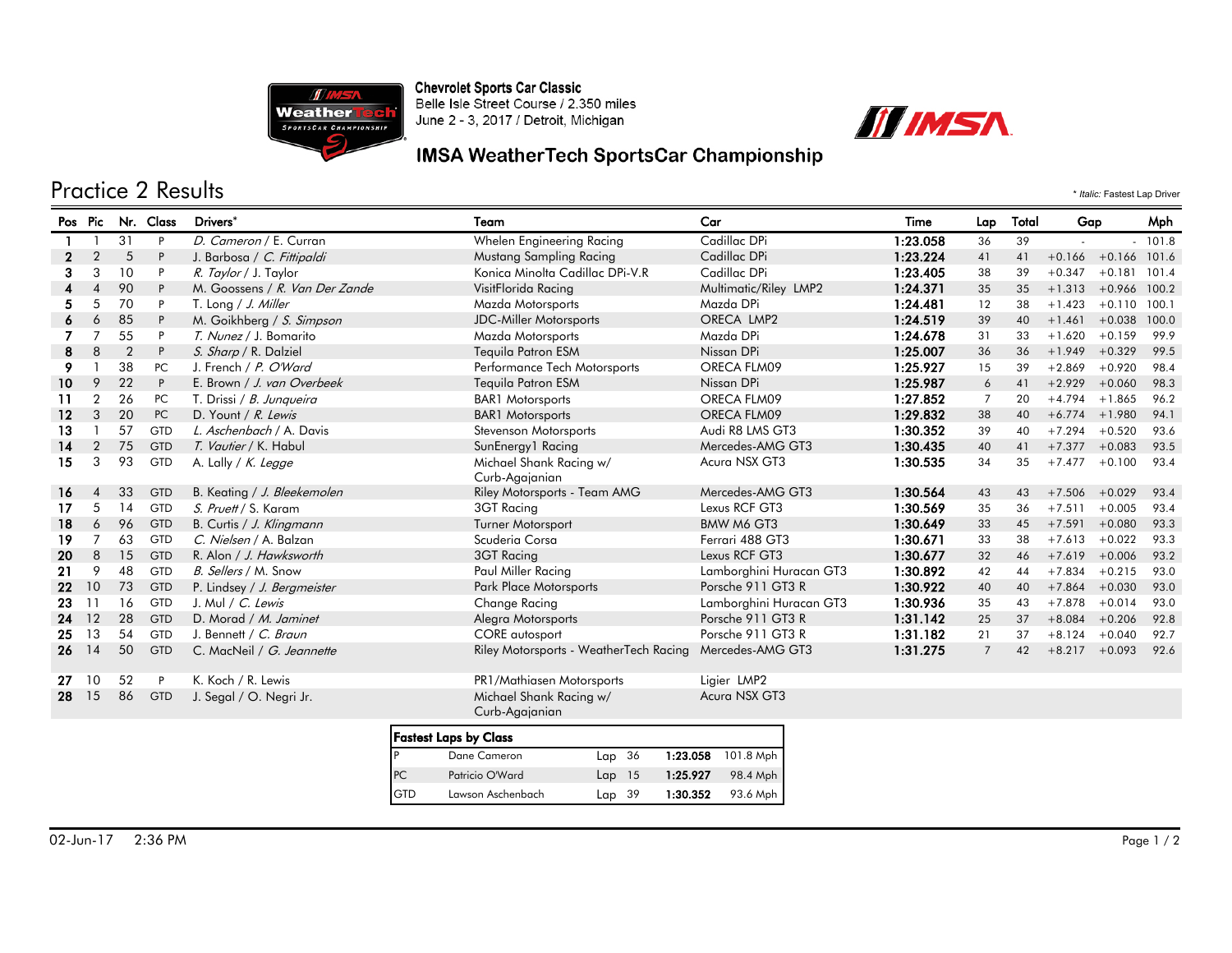

Chevrolet Sports Car Classic<br>Belle Isle Street Course / 2.350 miles June 2 - 3, 2017 / Detroit, Michigan



## IMSA WeatherTech SportsCar Championship

## Practice 2 Results \* *Italic:* Fastest Lap Driver

| Pos Pic      |                |                | Nr. Class | Drivers*                       | Team                                      | Car                     | Time     | Lap            | Total | Gap                    |                       | Mph   |
|--------------|----------------|----------------|-----------|--------------------------------|-------------------------------------------|-------------------------|----------|----------------|-------|------------------------|-----------------------|-------|
|              |                | 31             | P         | D. Cameron / E. Curran         | Whelen Engineering Racing                 | Cadillac DPi            | 1:23.058 | 36             | 39    |                        |                       | 101.8 |
| $\mathbf{2}$ | 2              | 5              | P         | J. Barbosa / C. Fittipaldi     | Mustang Sampling Racing                   | Cadillac DPi            | 1:23.224 | 41             | 41    |                        | $+0.166 +0.166$ 101.6 |       |
| 3            | 3              | 10             | P         | R. Taylor / J. Taylor          | Konica Minolta Cadillac DPi-V.R           | Cadillac DPi            | 1:23.405 | 38             | 39    | $+0.347$               | $+0.181$              | 101.4 |
| 4            |                | 90             | P         | M. Goossens / R. Van Der Zande | VisitFlorida Racing                       | Multimatic/Riley LMP2   | 1:24.371 | 35             | 35    | $+1.313 + 0.966$ 100.2 |                       |       |
| 5.           |                | 70             | P         | T. Long / J. Miller            | Mazda Motorsports                         | Mazda DPi               | 1:24.481 | 12             | 38    | $+1.423$               | $+0.110$              | 100.1 |
| 6            | 6              | 85             | P         | M. Goikhberg / S. Simpson      | <b>JDC-Miller Motorsports</b>             | ORECA LMP2              | 1:24.519 | 39             | 40    | $+1.461$               | $+0.038$              | 100.0 |
|              | $\overline{7}$ | 55             | P         | T. Nunez / J. Bomarito         | Mazda Motorsports                         | Mazda DPi               | 1:24.678 | 31             | 33    | $+1.620$               | $+0.159$              | 99.9  |
| 8            | 8              | $\overline{2}$ | P         | S. Sharp / R. Dalziel          | Tequila Patron ESM                        | Nissan DPi              | 1:25.007 | 36             | 36    | $+1.949$               | $+0.329$              | 99.5  |
| 9            |                | 38             | PC        | J. French / P. O'Ward          | Performance Tech Motorsports              | ORECA FLM09             | 1:25.927 | 15             | 39    | $+2.869$               | $+0.920$              | 98.4  |
| 10           | 9              | 22             | P         | E. Brown / J. van Overbeek     | <b>Tequila Patron ESM</b>                 | Nissan DPi              | 1:25.987 | 6              | 41    | $+2.929$               | $+0.060$              | 98.3  |
| 11           | $\overline{2}$ | 26             | PC        | T. Drissi / B. Junqueira       | <b>BAR1</b> Motorsports                   | ORECA FLM09             | 1:27.852 | $\overline{7}$ | 20    | $+4.794$               | $+1.865$              | 96.2  |
| $12 \,$      | 3              | 20             | PC        | D. Yount / R. Lewis            | <b>BAR1</b> Motorsports                   | ORECA FLM09             | 1:29.832 | 38             | 40    | $+6.774$ $+1.980$      |                       | 94.1  |
| 13           |                | 57             | GTD       | L. Aschenbach / A. Davis       | Stevenson Motorsports                     | Audi R8 LMS GT3         | 1:30.352 | 39             | 40    | $+7.294$               | $+0.520$              | 93.6  |
| 14           | $\overline{2}$ | 75             | GTD       | T. Vautier / K. Habul          | SunEnergy1 Racing                         | Mercedes-AMG GT3        | 1:30.435 | 40             | 41    | $+7.377 + 0.083$       |                       | 93.5  |
| 15           | 3              | 93             | GTD       | A. Lally / K. Legge            | Michael Shank Racing w/<br>Curb-Agajanian | Acura NSX GT3           | 1:30.535 | 34             | 35    | $+7.477$               | $+0.100$              | 93.4  |
| 16           |                | 33             | GTD       | B. Keating / J. Bleekemolen    | Riley Motorsports - Team AMG              | Mercedes-AMG GT3        | 1:30.564 | 43             | 43    | $+7.506 + 0.029$       |                       | 93.4  |
| 17           | 5              | 14             | GTD       | S. Pruett / S. Karam           | 3GT Racing                                | Lexus RCF GT3           | 1:30.569 | 35             | 36    | $+7.511$               | $+0.005$              | 93.4  |
| 18           | 6              | 96             | GTD       | B. Curtis / J. Klingmann       | Turner Motorsport                         | BMW M6 GT3              | 1:30.649 | 33             | 45    | $+7.591$               | $+0.080$              | 93.3  |
| 19           | $\overline{7}$ | 63             | GTD       | C. Nielsen / A. Balzan         | Scuderia Corsa                            | Ferrari 488 GT3         | 1:30.671 | 33             | 38    | $+7.613$               | $+0.022$              | 93.3  |
| 20           | 8              | 15             | GTD       | R. Alon / J. Hawksworth        | 3GT Racing                                | Lexus RCF GT3           | 1:30.677 | 32             | 46    | $+7.619 + 0.006$       |                       | 93.2  |
| 21           | 9              | 48             | GTD       | B. Sellers / M. Snow           | Paul Miller Racing                        | Lamborghini Huracan GT3 | 1:30.892 | 42             | 44    | $+7.834$               | $+0.215$              | 93.0  |
| 22           | 10             | 73             | GTD       | P. Lindsey / J. Bergmeister    | Park Place Motorsports                    | Porsche 911 GT3 R       | 1:30.922 | 40             | 40    | $+7.864$               | $+0.030$              | 93.0  |
| 23           | 11             | 16             | GTD       | J. Mul / C. Lewis              | Change Racing                             | Lamborghini Huracan GT3 | 1:30.936 | 35             | 43    | $+7.878$               | $+0.014$              | 93.0  |
| 24           | 12             | 28             | GTD       | D. Morad / M. Jaminet          | Alegra Motorsports                        | Porsche 911 GT3 R       | 1:31.142 | 25             | 37    | $+8.084 + 0.206$       |                       | 92.8  |
| 25           | 13             | 54             | GTD       | J. Bennett / C. Braun          | CORE autosport                            | Porsche 911 GT3 R       | 1:31.182 | 21             | 37    | $+8.124$               | $+0.040$              | 92.7  |
| 26           | 14             | 50             | GTD       | C. MacNeil / G. Jeannette      | Riley Motorsports - WeatherTech Racing    | Mercedes-AMG GT3        | 1:31.275 | $\overline{7}$ | 42    | $+8.217 +0.093$        |                       | 92.6  |
| 27           | 10             | 52             | P         | K. Koch / R. Lewis             | PR1/Mathiasen Motorsports                 | Ligier LMP2             |          |                |       |                        |                       |       |
| 28           | 15             | 86             | GTD       | J. Segal / O. Negri Jr.        | Michael Shank Racing w/<br>Curb-Aggianian | Acura NSX GT3           |          |                |       |                        |                       |       |
|              |                |                |           | <b>Fastest Laps by Class</b>   |                                           |                         |          |                |       |                        |                       |       |

| <b>Fastest Laps by Class</b> |                   |          |  |          |                    |  |
|------------------------------|-------------------|----------|--|----------|--------------------|--|
|                              | Dane Cameron      | Lap 36   |  |          | 1:23.058 101.8 Mph |  |
| PC                           | Patricio O'Ward   | $Lap$ 15 |  | 1:25.927 | 98.4 Mph           |  |
| <b>GTD</b>                   | Lawson Aschenbach | $Lap$ 39 |  | 1:30.352 | 93.6 Mph           |  |